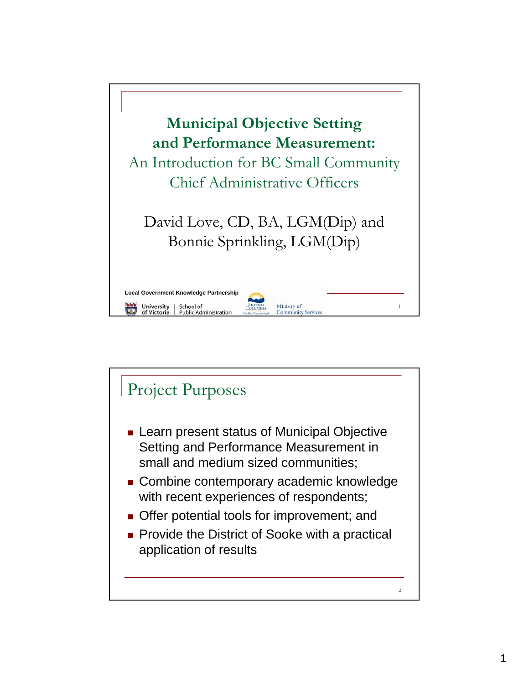

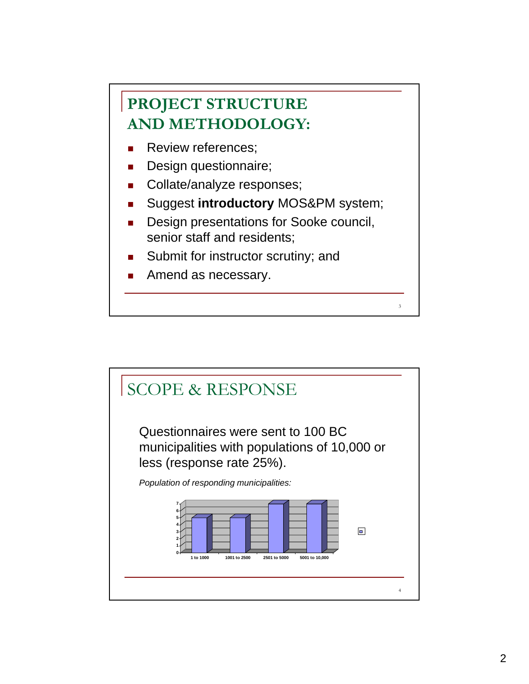## **PROJECT STRUCTURE AND METHODOLOGY:**

- **Review references;**
- Design questionnaire;
- Collate/analyze responses;
- Suggest **introductory** MOS&PM system;
- Design presentations for Sooke council, senior staff and residents; senior staff and

3

- Submit for instructor scrutiny; and
- Amend as necessary.

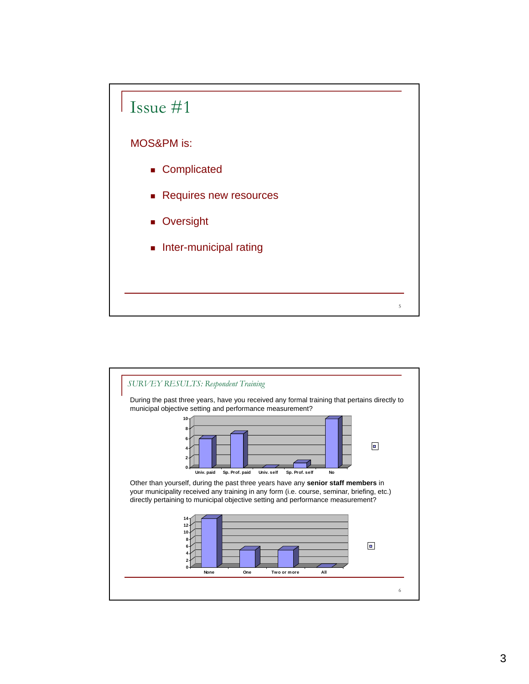

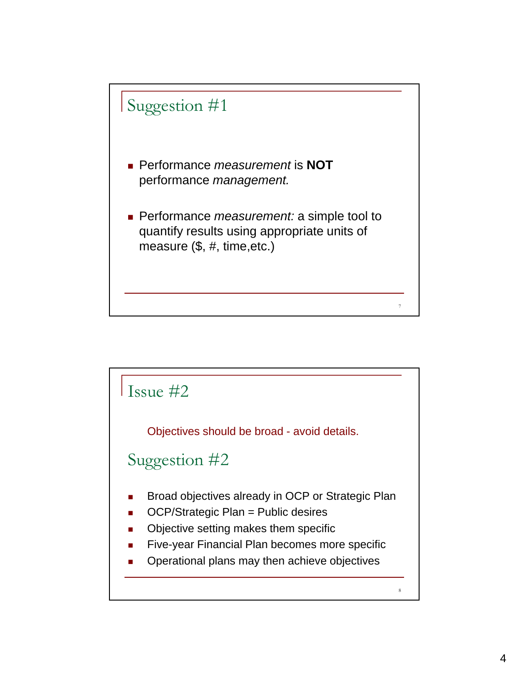

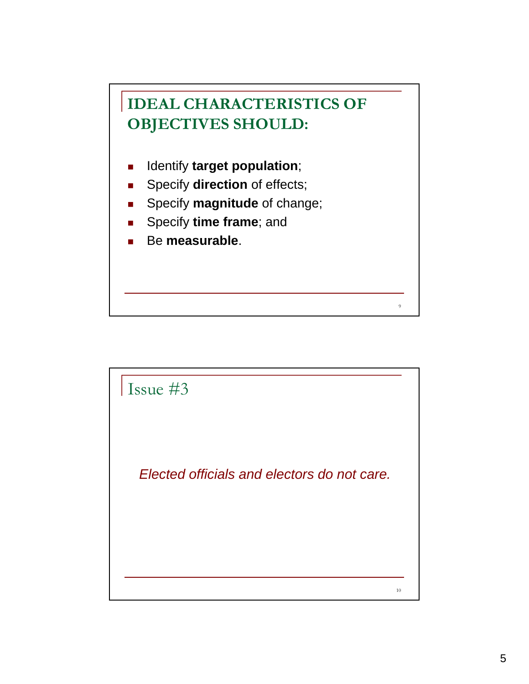

- **IDENTIFY target population;**
- **s** Specify **direction** of effects;
- **s** Specify **magnitude** of change;
- **s** Specify **time frame**; and
- Be measurable.



9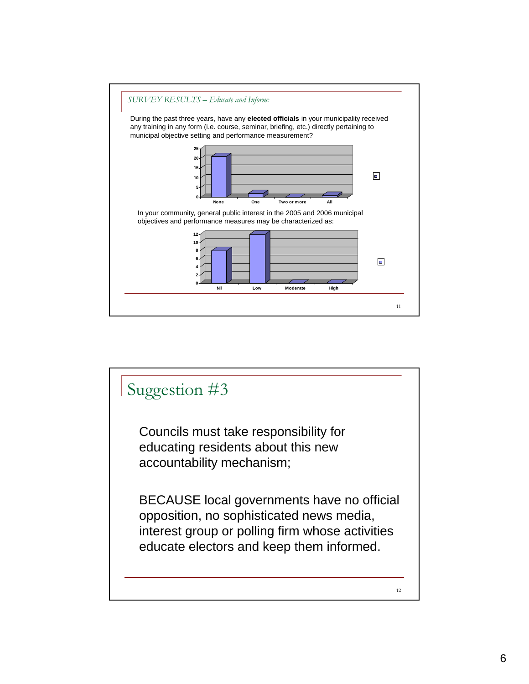

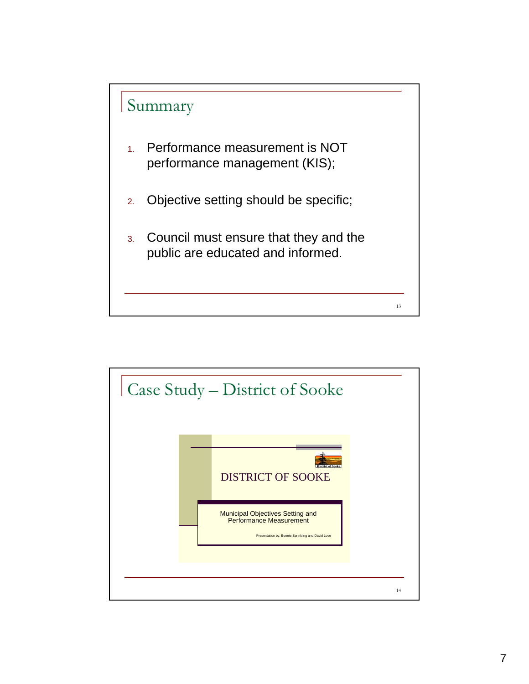

- 1. Performance measurement is NOT performance management (KIS);
- 2. Objective setting should be specific;
- <sup>3</sup> Council must ensure that they and the . Council must ensure that they and thepublic are educated and informed.

13

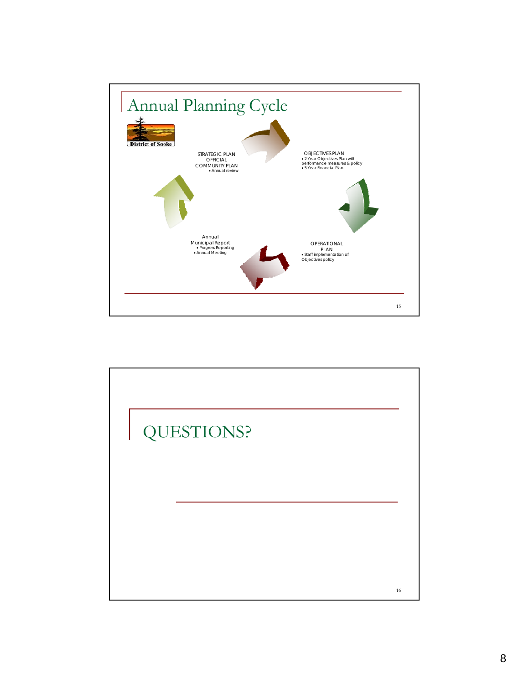